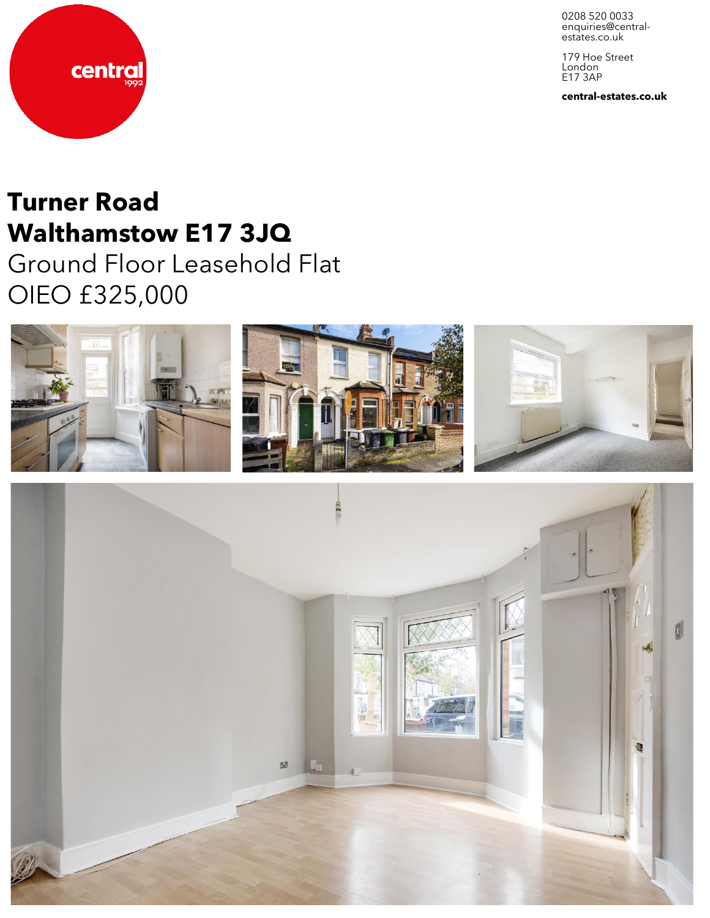0208 520 0033 enquiries@central-<br>estates.co.uk

179 Hoe Street London E17 3AP

**central-estates.co.uk**



# **Turner Road Walthamstow E17 3JQ**

Ground Floor Leasehold Flat OIEO £325,000